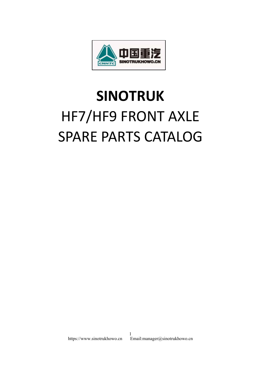

## **SINOTRUK** HF7/HF9 FRONT AXLE SPARE PARTS CATALOG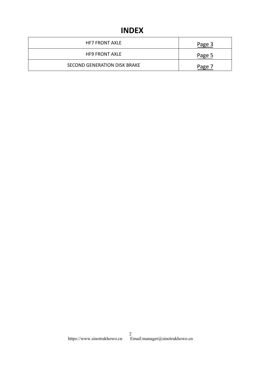## **INDEX**

| HF7 FRONT AXLE                      | Page 3 |  |
|-------------------------------------|--------|--|
| <b>HF9 FRONT AXLE</b>               | Page 5 |  |
| <b>SECOND GENERATION DISK BRAKE</b> | Page 7 |  |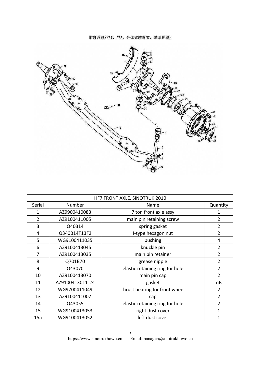前轴总成(HR7, ABS, 分体式转向节, 带防护罩)

<span id="page-2-0"></span>

|                         |                 | HF7 FRONT AXLE, SINOTRUK 2010   |                |
|-------------------------|-----------------|---------------------------------|----------------|
| Serial                  | Number          | Name                            | Quantity       |
| $\mathbf{1}$            | AZ9900410083    | 7 ton front axle assy           | $\mathbf{1}$   |
| $\overline{2}$          | AZ9100411005    | main pin retaining screw        | $\overline{2}$ |
| 3                       | Q40314          | spring gasket                   | $\overline{2}$ |
| $\overline{\mathbf{4}}$ | Q340B14T13F2    | I-type hexagon nut              | $\overline{2}$ |
| 5                       | WG9100411035    | bushing                         | 4              |
| 6                       | AZ9100413045    | knuckle pin                     | $\overline{2}$ |
| 7                       | AZ9100413035    | main pin retainer               | $\overline{2}$ |
| 8                       | Q701B70         | grease nipple                   | $\overline{2}$ |
| 9                       | Q43070          | elastic retaining ring for hole | $\overline{2}$ |
| 10                      | AZ9100413070    | main pin cap                    | $\overline{2}$ |
| 11                      | AZ9100413011-24 | gasket                          | nB             |
| 12                      | WG9700411049    | thrust bearing for front wheel  | $\overline{2}$ |
| 13                      | AZ9100411007    | cap                             | $\overline{2}$ |
| 14                      | Q43055          | elastic retaining ring for hole | $\overline{2}$ |
| 15                      | WG9100413053    | right dust cover                | $\mathbf{1}$   |
|                         | WG9100413052    | left dust cover                 | $\mathbf{1}$   |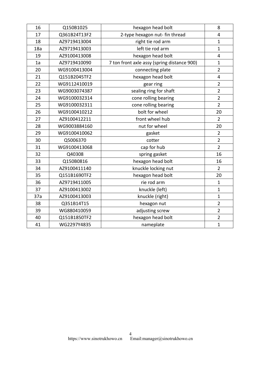| 16  | Q150B1025    | hexagon head bolt                           | 8              |
|-----|--------------|---------------------------------------------|----------------|
| 17  | Q361B24T13F2 | 2-type hexagon nut- fin thread              | 4              |
| 18  | AZ9719413004 | right tie rod arm                           | $\mathbf{1}$   |
| 18a | AZ9719413003 | left tie rod arm                            | $\mathbf{1}$   |
| 19  | AZ9100413008 | hexagon head bolt                           | $\overline{4}$ |
| 1a  | AZ9719410090 | 7 ton front axle assy (spring distance 900) | $\mathbf{1}$   |
| 20  | WG9100413004 | connecting plate                            | $\overline{2}$ |
| 21  | Q151B2045TF2 | hexagon head bolt                           | $\overline{4}$ |
| 22  | WG9112410019 | gear ring                                   | $\overline{2}$ |
| 23  | WG9003074387 | sealing ring for shaft                      | $\overline{2}$ |
| 24  | WG9100032314 | cone rolling bearing                        | $\overline{2}$ |
| 25  | WG9100032311 | cone rolling bearing                        | $\overline{2}$ |
| 26  | WG9100410212 | bolt for wheel                              | 20             |
| 27  | AZ9100412211 | front wheel hub                             | $\overline{2}$ |
| 28  | WG9003884160 | nut for wheel                               | 20             |
| 29  | WG9100410062 | gasket                                      | $\overline{2}$ |
| 30  | Q5006370     | cotter                                      | $\overline{2}$ |
| 31  | WG9100413068 | cap for hub                                 | $\overline{2}$ |
| 32  | Q40308       | spring gasket                               | 16             |
| 33  | Q150B0816    | hexagon head bolt                           | 16             |
| 34  | AZ9100411140 | knuckle locking nut                         | $\overline{2}$ |
| 35  | Q151B1690TF2 | hexagon head bolt                           | 20             |
| 36  | AZ9719411005 | rie rod arm                                 | $\mathbf{1}$   |
| 37  | AZ9100413002 | knuckle (left)                              | $\mathbf{1}$   |
| 37a | AZ9100413003 | knuckle (right)                             | $\mathbf{1}$   |
| 38  | Q351B14T15   | hexagon nut                                 | $\overline{2}$ |
| 39  | WG880410059  | adjusting screw                             | $\overline{2}$ |
| 40  | Q151B1850TF2 | hexagon head bolt                           | $\overline{2}$ |
| 41  | WG2297Y4835  | nameplate                                   | $\mathbf{1}$   |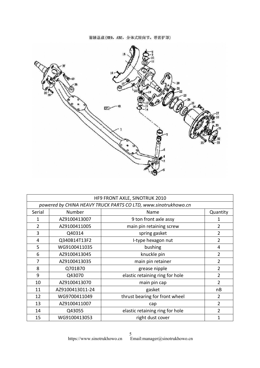前轴总成(HR9, ABS, 分体式转向节, 带防护罩)

<span id="page-4-0"></span>

|              |                 | HF9 FRONT AXLE, SINOTRUK 2010                                  |                |
|--------------|-----------------|----------------------------------------------------------------|----------------|
|              |                 | powered by CHINA HEAVY TRUCK PARTS CO LTD, www.sinotrukhowo.cn |                |
| Serial       | Number          | Name                                                           | Quantity       |
| $\mathbf{1}$ | AZ9100413007    | 9 ton front axle assy                                          | $\mathbf{1}$   |
| 2            | AZ9100411005    | main pin retaining screw                                       | $\overline{2}$ |
| 3            | Q40314          | spring gasket                                                  | $\overline{2}$ |
| 4            | Q340B14T13F2    | I-type hexagon nut                                             | $\overline{2}$ |
| 5            | WG9100411035    | bushing                                                        | $\overline{4}$ |
| 6            | AZ9100413045    | knuckle pin                                                    | $\overline{2}$ |
| 7            | AZ9100413035    | main pin retainer                                              | $\overline{2}$ |
| 8            | Q701B70         | grease nipple                                                  | $\overline{2}$ |
| 9            | Q43070          | elastic retaining ring for hole                                | $\overline{2}$ |
| 10           | AZ9100413070    | main pin cap                                                   | $\overline{2}$ |
| 11           | AZ9100413011-24 | gasket                                                         | nB             |
| 12           | WG9700411049    | thrust bearing for front wheel                                 | $\overline{2}$ |
| 13           | AZ9100411007    | cap                                                            | $\overline{2}$ |
| 14           | Q43055          | elastic retaining ring for hole                                | $\overline{2}$ |
|              | WG9100413053    | right dust cover                                               | $\mathbf{1}$   |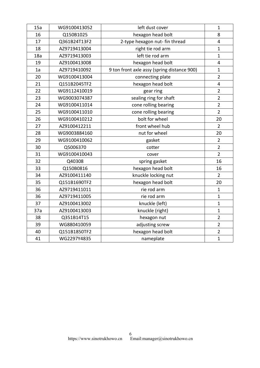| 15a | WG9100413052 | left dust cover                             | $\mathbf{1}$            |
|-----|--------------|---------------------------------------------|-------------------------|
| 16  | Q150B1025    | hexagon head bolt                           | 8                       |
| 17  | Q361B24T13F2 | 2-type hexagon nut- fin thread              | $\overline{4}$          |
| 18  | AZ9719413004 | right tie rod arm                           | $\mathbf{1}$            |
| 18a | AZ9719413003 | left tie rod arm                            | $\mathbf{1}$            |
| 19  | AZ9100413008 | hexagon head bolt                           | 4                       |
| 1a  | AZ9719410092 | 9 ton front axle assy (spring distance 900) | $\mathbf{1}$            |
| 20  | WG9100413004 | connecting plate                            | $\overline{2}$          |
| 21  | Q151B2045TF2 | hexagon head bolt                           | $\overline{\mathbf{4}}$ |
| 22  | WG9112410019 | gear ring                                   | $\overline{2}$          |
| 23  | WG9003074387 | sealing ring for shaft                      | $\overline{2}$          |
| 24  | WG9100411014 | cone rolling bearing                        | $\overline{2}$          |
| 25  | WG9100411010 | cone rolling bearing                        | $\overline{2}$          |
| 26  | WG9100410212 | bolt for wheel                              | 20                      |
| 27  | AZ9100412211 | front wheel hub                             | $\overline{2}$          |
| 28  | WG9003884160 | nut for wheel                               | 20                      |
| 29  | WG9100410062 | gasket                                      | $\overline{2}$          |
| 30  | Q5006370     | cotter                                      | $\overline{2}$          |
| 31  | WG9100410043 | cover                                       | $\overline{2}$          |
| 32  | Q40308       | spring gasket                               | 16                      |
| 33  | Q150B0816    | hexagon head bolt                           | 16                      |
| 34  | AZ9100411140 | knuckle locking nut                         | $\overline{2}$          |
| 35  | Q151B1690TF2 | hexagon head bolt                           | 20                      |
| 36  | AZ9719411011 | rie rod arm                                 | $\mathbf{1}$            |
| 36  | AZ9719411005 | rie rod arm                                 | $\mathbf{1}$            |
| 37  | AZ9100413002 | knuckle (left)                              | $\mathbf{1}$            |
| 37a | AZ9100413003 | knuckle (right)                             | $\mathbf{1}$            |
| 38  | Q351B14T15   | hexagon nut                                 | $\overline{2}$          |
| 39  | WG880410059  | adjusting screw                             | $\overline{2}$          |
| 40  | Q151B1850TF2 | hexagon head bolt                           | $\overline{2}$          |
| 41  | WG2297Y4835  | nameplate                                   | $\mathbf{1}$            |
|     |              |                                             |                         |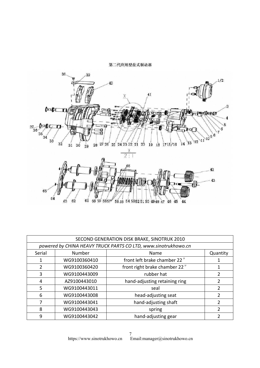第二代应用型盘式制动器

<span id="page-6-0"></span>

| 65             | 61<br>63<br>62 | 60 59 58 57 56 55 54 53 52 51 50 49 48 47 46 45                | 43             |
|----------------|----------------|----------------------------------------------------------------|----------------|
|                |                | SECOND GENERATION DISK BRAKE, SINOTRUK 2010                    |                |
|                |                | powered by CHINA HEAVY TRUCK PARTS CO LTD, www.sinotrukhowo.cn |                |
| Serial         | Number         | Name                                                           | Quantity       |
| $\mathbf{1}$   | WG9100360410   | front left brake chamber 22"                                   | $\mathbf 1$    |
| $\overline{2}$ | WG9100360420   | front right brake chamber 22"                                  | $\mathbf{1}$   |
| 3              | WG9100443009   | rubber hat                                                     | $\overline{2}$ |
| $\overline{4}$ | AZ9100443010   | hand-adjusting retaining ring                                  | $\overline{2}$ |
| 5              | WG9100443011   | seal                                                           | $\overline{2}$ |
| 6              | WG9100443008   | head-adjusting seat                                            | $\overline{2}$ |
| 7              | WG9100443041   | hand-adjusting shaft                                           | $\overline{2}$ |
| 8              | WG9100443043   | spring                                                         | $\overline{2}$ |
|                |                | hand-adjusting gear                                            | $\overline{2}$ |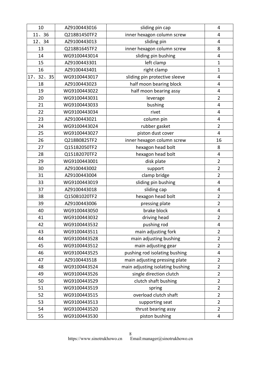| 10         | AZ9100443016 | sliding pin cap                  | $\overline{4}$ |
|------------|--------------|----------------------------------|----------------|
| 11, 36     | Q218B1450TF2 | inner hexagon column screw       | $\overline{4}$ |
| 12.34      | AZ9100443013 | sliding pin                      | $\overline{4}$ |
| 13         | Q218B1645TF2 | inner hexagon column screw       | 8              |
| 14         | WG9100443014 | sliding pin bushing              | $\overline{4}$ |
| 15         | AZ9100443301 | left clamp                       | $\mathbf{1}$   |
| 16         | AZ9100443401 | right clamp                      | $\mathbf{1}$   |
| 17, 32, 35 | WG9100443017 | sliding pin protective sleeve    | 4              |
| 18         | AZ9100443023 | half moon bearing block          | $\overline{4}$ |
| 19         | WG9100443022 | half moon bearing assy           | $\overline{4}$ |
| 20         | WG9100443031 | leverage                         | $\overline{2}$ |
| 21         | WG9100443033 | bushing                          | $\overline{4}$ |
| 22         | WG9100443034 | rivet                            | $\overline{4}$ |
| 23         | AZ9100443021 | column pin                       | 4              |
| 24         | WG9100443024 | rubber gasket                    | $\overline{2}$ |
| 25         | WG9100443027 | piston dust cover                | $\overline{4}$ |
| 26         | Q218B0825TF2 | inner hexagon column screw       | 16             |
| 27         | Q151B2050TF2 | hexagon head bolt                | 8              |
| 28         | Q151B2070TF2 | hexagon head bolt                | 4              |
| 29         | WG9100443001 | disk plate                       | $\overline{2}$ |
| 30         | AZ9100443002 | support                          | $\overline{2}$ |
| 31         | AZ9100443004 | clamp bridge                     | $\overline{2}$ |
| 33         | WG9100443019 | sliding pin bushing              | $\overline{4}$ |
| 37         | AZ9100443018 | sliding cap                      | 4              |
| 38         | Q150B1020TF2 | hexagon head bolt                | $\overline{2}$ |
| 39         | AZ9100443006 | pressing plate                   | $\overline{2}$ |
| 40         | WG9100443050 | brake block                      | 4              |
| 41         | WG9100443032 | driving head                     | $\overline{2}$ |
| 42         | WG9100443532 | pushing rod                      | $\overline{4}$ |
| 43         | WG9100443511 | main adjusting fork              | $\overline{2}$ |
| 44         | WG9100443528 | main adjusting bushing           | $\overline{2}$ |
| 45         | WG9100443512 | main adjusting gear              | $\overline{2}$ |
| 46         | WG9100443525 | pushing rod isolating bushing    | 4              |
| 47         | AZ9100443518 | main adjusting pressing plate    | $\overline{2}$ |
| 48         | WG9100443524 | main adjusting isolating bushing | $\overline{2}$ |
| 49         | WG9100443526 | single direction clutch          | $\overline{2}$ |
| 50         | WG9100443529 | clutch shaft bushing             | $\overline{2}$ |
| 51         | WG9100443519 | spring                           | $\overline{2}$ |
| 52         | WG9100443515 | overload clutch shaft            | $\overline{2}$ |
| 53         | WG9100443513 | supporting seat                  | $\overline{2}$ |
| 54         | WG9100443520 | thrust bearing assy              | $\overline{2}$ |
| 55         | WG9100443530 | piston bushing                   | 4              |
|            |              |                                  |                |